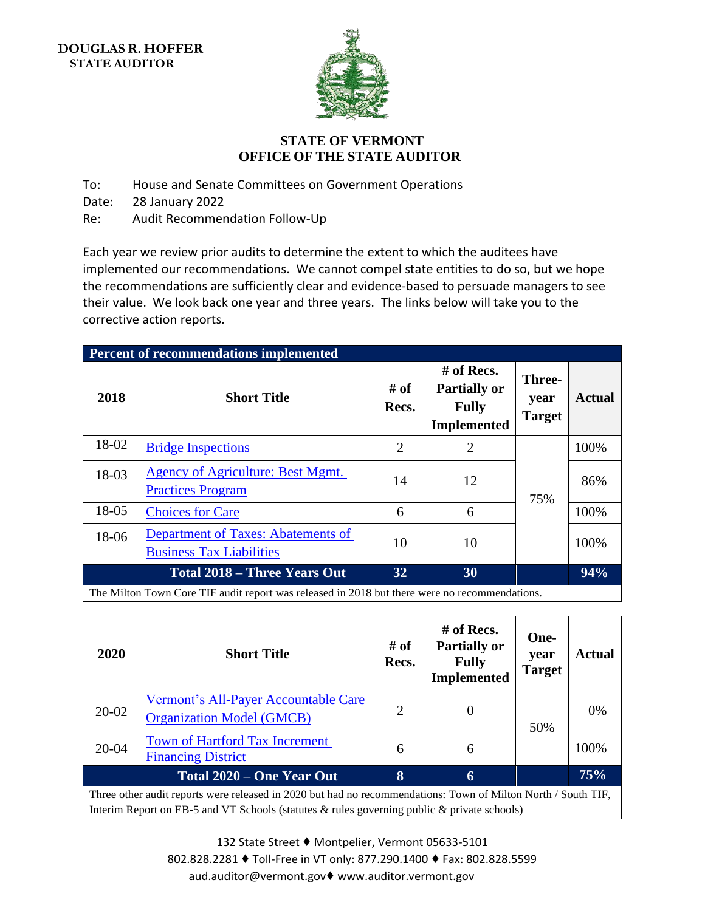

## **STATE OF VERMONT OFFICE OF THE STATE AUDITOR**

To: House and Senate Committees on Government Operations

Date: 28 January 2022

Re: Audit Recommendation Follow-Up

Each year we review prior audits to determine the extent to which the auditees have implemented our recommendations. We cannot compel state entities to do so, but we hope the recommendations are sufficiently clear and evidence-based to persuade managers to see their value. We look back one year and three years. The links below will take you to the corrective action reports.

| <b>Percent of recommendations implemented</b>                                                                                                                                                |                                                                       |               |                                                                           |                                        |               |  |  |
|----------------------------------------------------------------------------------------------------------------------------------------------------------------------------------------------|-----------------------------------------------------------------------|---------------|---------------------------------------------------------------------------|----------------------------------------|---------------|--|--|
| 2018                                                                                                                                                                                         | <b>Short Title</b>                                                    | # of<br>Recs. | $#$ of Recs.<br><b>Partially or</b><br><b>Fully</b><br><b>Implemented</b> | <b>Three-</b><br>year<br><b>Target</b> | <b>Actual</b> |  |  |
| 18-02                                                                                                                                                                                        | <b>Bridge Inspections</b>                                             | 2             | $\overline{2}$                                                            |                                        | 100%          |  |  |
| 18-03                                                                                                                                                                                        | Agency of Agriculture: Best Mgmt.<br><b>Practices Program</b>         | 14            | 12                                                                        | 75%                                    | 86%           |  |  |
| 18-05                                                                                                                                                                                        | <b>Choices for Care</b>                                               | 6             | 6                                                                         |                                        | 100%          |  |  |
| 18-06                                                                                                                                                                                        | Department of Taxes: Abatements of<br><b>Business Tax Liabilities</b> | 10            | 10                                                                        |                                        | 100%          |  |  |
|                                                                                                                                                                                              | <b>Total 2018 – Three Years Out</b>                                   | 32            | 30                                                                        |                                        | 94%           |  |  |
| $\text{Th}_2$ Miles $\text{Th}_{2222}$ $\text{CH}_{2223}$ $\text{CH}_{2223}$ and $\text{Th}_{2223}$ and $\text{Th}_{2223}$ and $\text{Th}_{223}$ and $\text{Th}_{223}$ and $\text{Th}_{223}$ |                                                                       |               |                                                                           |                                        |               |  |  |

The Milton Town Core TIF audit report was released in 2018 but there were no recommendations.

| 2020                                                                                                                                                                                                               | <b>Short Title</b>                                                       | # of<br>Recs. | # of Recs.<br><b>Partially or</b><br><b>Fully</b><br><b>Implemented</b> | One-<br>year<br><b>Target</b> | Actual |  |
|--------------------------------------------------------------------------------------------------------------------------------------------------------------------------------------------------------------------|--------------------------------------------------------------------------|---------------|-------------------------------------------------------------------------|-------------------------------|--------|--|
| 20-02                                                                                                                                                                                                              | Vermont's All-Payer Accountable Care<br><b>Organization Model (GMCB)</b> | 2             | $\Omega$                                                                | 50%                           | $0\%$  |  |
| $20 - 04$                                                                                                                                                                                                          | <b>Town of Hartford Tax Increment</b><br><b>Financing District</b>       | 6             | 6                                                                       |                               | 100%   |  |
|                                                                                                                                                                                                                    | Total 2020 – One Year Out                                                | $\bf{8}$      | 6                                                                       |                               | 75%    |  |
| Three other audit reports were released in 2020 but had no recommendations: Town of Milton North / South TIF,<br>Interim Report on EB-5 and VT Schools (statutes $\&$ rules governing public $\&$ private schools) |                                                                          |               |                                                                         |                               |        |  |

132 State Street ♦ Montpelier, Vermont 05633-5101 802.828.2281 ♦ Toll-Free in VT only: 877.290.1400 ♦ Fax: 802.828.5599 aud.auditor@vermont.gov♦ [www.auditor.vermont.gov](http://www.auditor.vermont.gov/)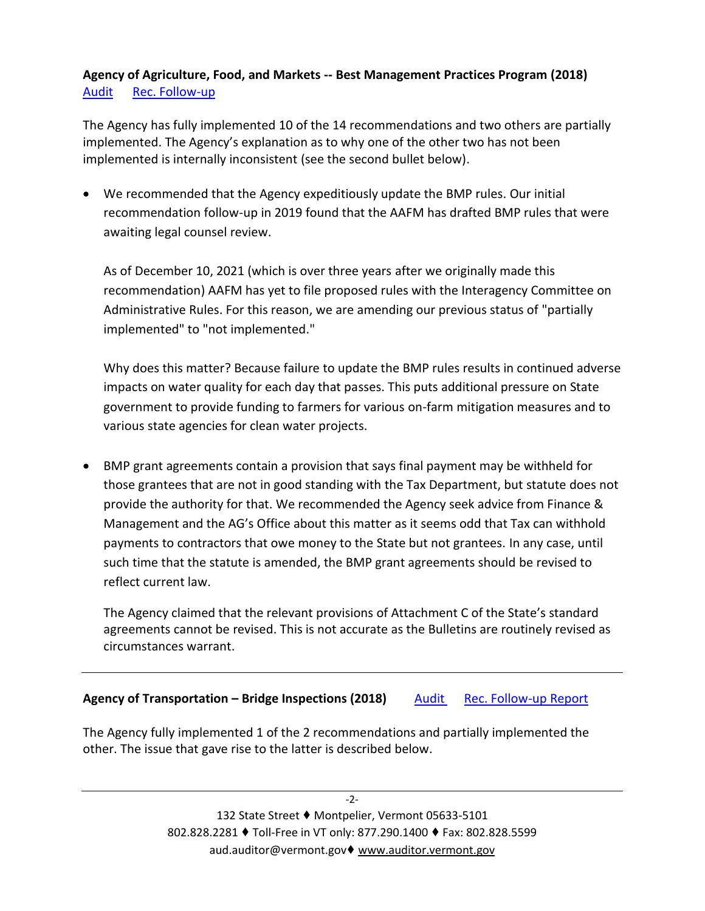## **Agency of Agriculture, Food, and Markets -- Best Management Practices Program (2018)** [Audit](https://auditor.vermont.gov/sites/auditor/files/documents/AAFM%20BMP%20Program%20Final%20Report.pdf) [Rec. Follow-up](https://auditor.vermont.gov/sites/auditor/files/documents/18-3%20AAFM%20Best%20Management%20Practices%20-%20Recommendations%20and%20Corrective%20Actions%20Report%20v2.pdf)

The Agency has fully implemented 10 of the 14 recommendations and two others are partially implemented. The Agency's explanation as to why one of the other two has not been implemented is internally inconsistent (see the second bullet below).

• We recommended that the Agency expeditiously update the BMP rules. Our initial recommendation follow-up in 2019 found that the AAFM has drafted BMP rules that were awaiting legal counsel review.

As of December 10, 2021 (which is over three years after we originally made this recommendation) AAFM has yet to file proposed rules with the Interagency Committee on Administrative Rules. For this reason, we are amending our previous status of "partially implemented" to "not implemented."

Why does this matter? Because failure to update the BMP rules results in continued adverse impacts on water quality for each day that passes. This puts additional pressure on State government to provide funding to farmers for various on-farm mitigation measures and to various state agencies for clean water projects.

• BMP grant agreements contain a provision that says final payment may be withheld for those grantees that are not in good standing with the Tax Department, but statute does not provide the authority for that. We recommended the Agency seek advice from Finance & Management and the AG's Office about this matter as it seems odd that Tax can withhold payments to contractors that owe money to the State but not grantees. In any case, until such time that the statute is amended, the BMP grant agreements should be revised to reflect current law.

The Agency claimed that the relevant provisions of Attachment C of the State's standard agreements cannot be revised. This is not accurate as the Bulletins are routinely revised as circumstances warrant.

## **Agency of Transportation – Bridge Inspections (2018)** [Audit](https://auditor.vermont.gov/sites/auditor/files/documents/Bridge%20Inspections%20Report.pdf) [Rec. Follow-up Report](https://auditor.vermont.gov/sites/auditor/files/documents/18-2%20Bridge%20Inspections%20-%20Recommendations%20and%20Corrective%20Actions%20Report%20v.1.pdf)

The Agency fully implemented 1 of the 2 recommendations and partially implemented the other. The issue that gave rise to the latter is described below.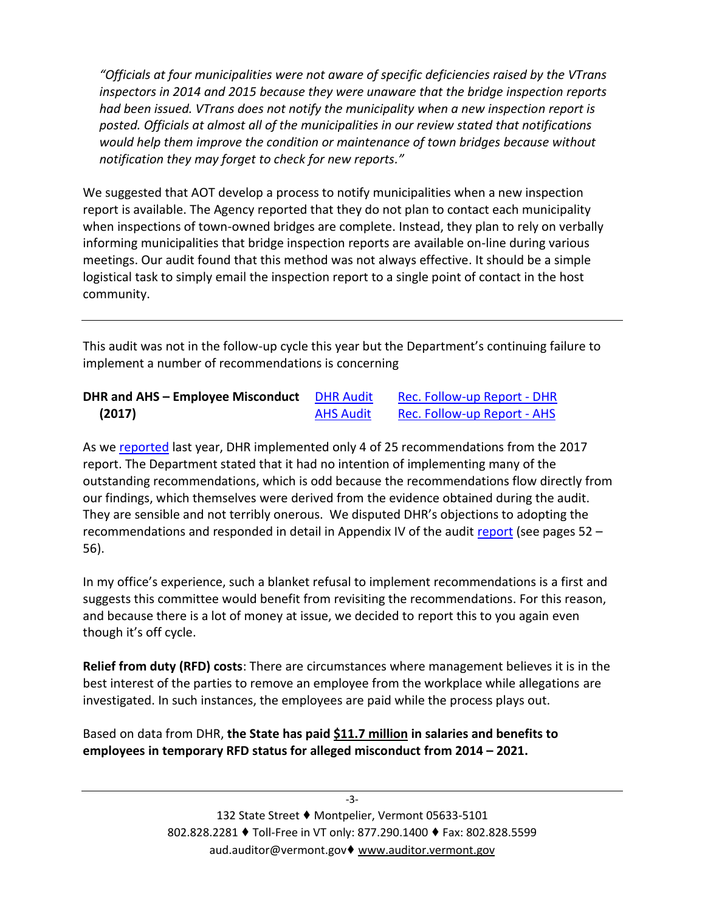*"Officials at four municipalities were not aware of specific deficiencies raised by the VTrans inspectors in 2014 and 2015 because they were unaware that the bridge inspection reports had been issued. VTrans does not notify the municipality when a new inspection report is posted. Officials at almost all of the municipalities in our review stated that notifications would help them improve the condition or maintenance of town bridges because without notification they may forget to check for new reports."*

We suggested that AOT develop a process to notify municipalities when a new inspection report is available. The Agency reported that they do not plan to contact each municipality when inspections of town-owned bridges are complete. Instead, they plan to rely on verbally informing municipalities that bridge inspection reports are available on-line during various meetings. Our audit found that this method was not always effective. It should be a simple logistical task to simply email the inspection report to a single point of contact in the host community.

This audit was not in the follow-up cycle this year but the Department's continuing failure to implement a number of recommendations is concerning

| <b>DHR and AHS - Employee Misconduct</b> DHR Audit |                  | Rec. Follow-up Report - DHR |
|----------------------------------------------------|------------------|-----------------------------|
| (2017)                                             | <b>AHS Audit</b> | Rec. Follow-up Report - AHS |

As w[e reported](https://auditor.vermont.gov/sites/auditor/files/documents/17-4%20Agency%20of%20Human%20Services%20-%20Recommendations%20%26%20Corrective%20Actions%20Report.pdf) last year, DHR implemented only 4 of 25 recommendations from the 2017 report. The Department stated that it had no intention of implementing many of the outstanding recommendations, which is odd because the recommendations flow directly from our findings, which themselves were derived from the evidence obtained during the audit. They are sensible and not terribly onerous. We disputed DHR's objections to adopting the recommendations and responded in detail in Appendix IV of the audit [report](https://auditor.vermont.gov/sites/auditor/files/documents/DHR%20Misconduct%20Report.pdf) (see pages 52 – 56).

In my office's experience, such a blanket refusal to implement recommendations is a first and suggests this committee would benefit from revisiting the recommendations. For this reason, and because there is a lot of money at issue, we decided to report this to you again even though it's off cycle.

**Relief from duty (RFD) costs**: There are circumstances where management believes it is in the best interest of the parties to remove an employee from the workplace while allegations are investigated. In such instances, the employees are paid while the process plays out.

Based on data from DHR, **the State has paid \$11.7 million in salaries and benefits to employees in temporary RFD status for alleged misconduct from 2014 – 2021.**